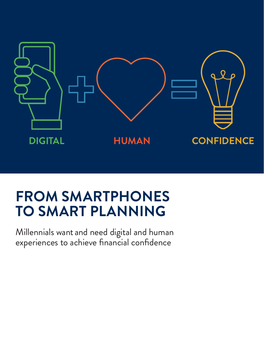

# **FROM SMARTPHONES TO SMART PLANNING**

Millennials want and need digital and human experiences to achieve financial confidence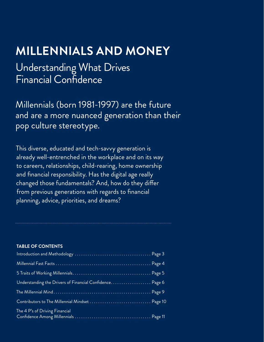## **MILLENNIALS AND MONEY**

Understanding What Drives Financial Confidence

Millennials (born 1981-1997) are the future and are a more nuanced generation than their pop culture stereotype.

This diverse, educated and tech-savvy generation is already well-entrenched in the workplace and on its way to careers, relationships, child-rearing, home ownership and financial responsibility. Has the digital age really changed those fundamentals? And, how do they differ from previous generations with regards to financial planning, advice, priorities, and dreams?

### **TABLE OF CONTENTS**

| Understanding the Drivers of Financial Confidence Page 6 |  |
|----------------------------------------------------------|--|
|                                                          |  |
| Contributors to The Millennial Mindset  Page 10          |  |
| The 4 P's of Driving Financial                           |  |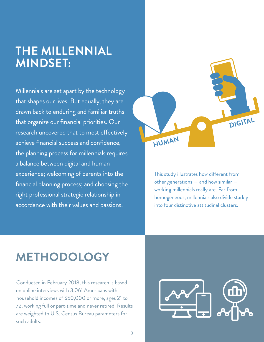## **THE MILLENNIAL MINDSET:**

Millennials are set apart by the technology that shapes our lives. But equally, they are drawn back to enduring and familiar truths that organize our financial priorities. Our research uncovered that to most effectively achieve financial success and confidence, the planning process for millennials requires a balance between digital and human experience; welcoming of parents into the financial planning process; and choosing the right professional strategic relationship in accordance with their values and passions.



This study illustrates how different from other generations — and how similar working millennials really are. Far from homogeneous, millennials also divide starkly into four distinctive attitudinal clusters.

# **METHODOLOGY**

Conducted in February 2018, this research is based on online interviews with 3,061 Americans with household incomes of \$50,000 or more, ages 21 to 72, working full or part-time and never retired. Results are weighted to U.S. Census Bureau parameters for such adults.

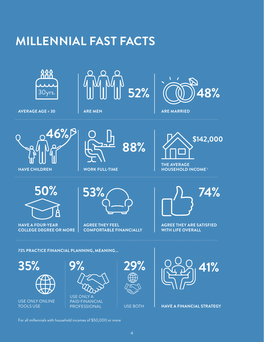# **MILLENNIAL FAST FACTS**



**AVERAGE AGE = 30 ARE MEN ARE MEN ARE MARRIED** 













**HAVE A FOUR-YEAR COLLEGE DEGREE OR MORE** 



**AGREE THEY FEEL COMFORTABLE FINANCIALLY**



**AGREE THEY ARE SATISFIED WITH LIFE OVERALL**

. . . . . . . . . . . . . . . . . . .

**73% PRACTICE FINANCIAL PLANNING, MEANING...**



USE ONLY ONLINE TOOLS USE









For all millennials with household incomes of \$50,000 or more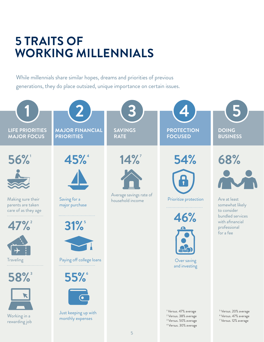# **5 TRAITS OF WORKING MILLENNIALS**

While millennials share similar hopes, dreams and priorities of previous generations, they do place outsized, unique importance on certain issues.

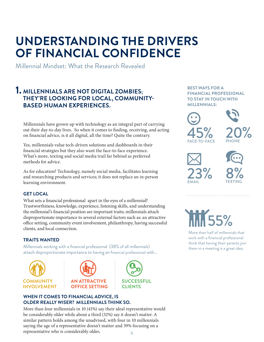## **UNDERSTANDING THE DRIVERS OF FINANCIAL CONFIDENCE**

Millennial Mindset: What the Research Revealed

### **1. MILLENNIALS ARE NOT DIGITAL ZOMBIES; THEY'RE LOOKING FOR LOCAL, COMMUNITY-BASED HUMAN EXPERIENCES.**

Millennials have grown up with technology as an integral part of carrying out their day-to-day lives. So when it comes to finding, receiving, and acting on financial advice, is it all digital, all the time? Quite the contrary.

Yes, millennials value tech-driven solutions and dashboards in their financial strategies but they also want the face-to-face experience. What's more, texting and social media trail far behind as preferred methods for advice.

As for education? Technology, namely social media, facilitates learning and researching products and services; it does not replace an in-person learning environment.

### **GET LOCAL**

What sets a financial professional apart in the eyes of a millennial? Trustworthiness, knowledge, experience, listening skills, and understanding the millennial's financial position are important traits; millennials attach disproportionate importance to several external factors such as: an attractive office setting, community event involvement, philanthropy, having successful clients, and local connection.

### **TRAITS WANTED**

Millennials working with a financial professional (38% of all millennials) attach disproportionate importance to having an financial professional with...







### **WHEN IT COMES TO FINANCIAL ADVICE, IS OLDER REALLY WISER? MILLENNIALS THINK SO.**

6 More than four millennials in 10 (41%) say their ideal representative would be considerably older while about a third (32%) say it doesn't matter. A similar pattern holds among the unadvised, with four in 10 millennials saying the age of a representative doesn't matter and 39% focusing on a representative who is considerably older**.**

#### **BEST WAYS FOR A FINANCIAL PROFESSIONAL TO STAY IN TOUCH WITH MILLENNIALS:**



TEXTING

# 55%

EMAIL

More than half of millennials that work with a financial professional think that having their parents join them in a meeting is a great idea.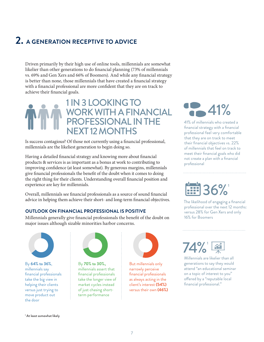### **2. A GENERATION RECEPTIVE TO ADVICE**

Driven primarily by their high use of online tools, millennials are somewhat likelier than other generations to do financial planning (73% of millennials vs. 69% and Gen Xers and 66% of Boomers). And while any financial strategy is better than none, those millennials that have created a financial strategy with a financial professional are more confident that they are on track to achieve their financial goals.

## 1 IN 3 LOOKING TO<br>WORK WITH A FINANCIAL (1941%) PROFESSIONAL IN THE **EXT 12 MONTHS**

Is success contagious? Of those not currently using a financial professional, millennials are the likeliest generation to begin doing so.

Having a detailed financial strategy and knowing more about financial products & services is as important as a bonus at work to contributing to improving confidence (at least somewhat). By generous margins, millennials give financial professionals the benefit of the doubt when it comes to doing the right thing for their clients. Understanding overall financial position and experience are key for millennials.

Overall, millennials see financial professionals as a source of sound financial advice in helping them achieve their short- and long-term financial objectives.

### **OUTLOOK ON FINANCIAL PROFESSIONAL IS POSITIVE**

Millennials generally give financial professionals the benefit of the doubt on major issues although sizable minorities harbor concerns.



By **64% to 36%**, millennials say financial professionals take the big view in helping their clients versus just trying to move product out the door



By **70% to 30%,**  millennials assert that financial professionals take the longer view of market cycles instead of just chasing shortterm performance



But millennials only narrowly perceive financial professionals as always acting in the client's interest **(54%)** versus their own **(46%)**



41% of millennials who created a financial strategy with a financial professional feel very comfortable that they are on track to meet their financial objectives vs. 22% of millennials that feel on track to meet their financial goals who did not create a plan with a financial professional

# **EEP** 36%

The likelihood of engaging a financial professional over the next 12 months: versus 28% for Gen Xers and only 16% for Boomers



Millennials are likelier than all generations to say they would attend "an educational seminar on a topic of interest to you" offered by a "reputable local financial professional."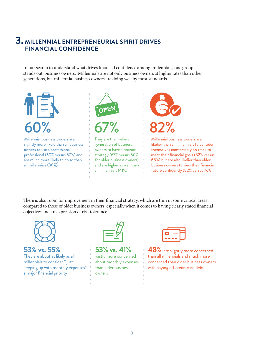### **3. MILLENNIAL ENTREPRENEURIAL SPIRIT DRIVES FINANCIAL CONFIDENCE**

In our search to understand what drives financial confidence among millennials, one group stands out: business owners. Millennials are not only business owners at higher rates than other generations, but millennial business owners are doing well by most standards.



Millennial business owners are slightly more likely than all business owners to use a professional professional (60% versus 57%) and are much more likely to do so than all millennials (38%).



They are the likeliest generation of business owners to have a financial strategy (67% versus 50% for older business owners) and are higher as well than all millennials (41%)



Millennial business owners are likelier than all millennials to consider themselves comfortably on track to meet their financial goals (82% versus 68%) but are also likelier than older business owners to view their financial future confidently (82% versus 76%)

There is also room for improvement in their financial strategy, which are thin in some critical areas compared to those of older business owners, especially when it comes to having clearly stated financial objectives and an expression of risk tolerance.



### **53% vs. 55%**

They are about as likely as all millennials to consider "just keeping up with monthly expenses" a major financial priority



**53% vs. 41%** vastly more concerned about monthly expenses than older business owners

**48%** are slightly more concerned than all millennials and much more concerned than older business owners with paying off credit card debt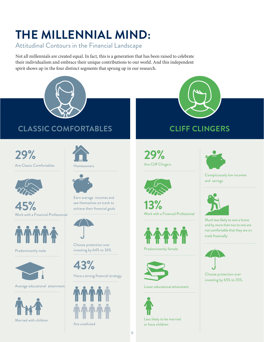# **THE MILLENNIAL MIND:**

Attitudinal Contours in the Financial Landscape

Not all millennials are created equal. In fact, this is a generation that has been raised to celebrate their individualism and embrace their unique contributions to our world. And this independent spirit shows up in the four distinct segments that sprung up in our research.



### **CLASSIC COMFORTABLES CLIFF CLINGERS**

**29%** Are Classic Comfortables



I

**45%**

Work with a Financial Professional 



Predominantly male 



Average educational attainment: 





Homeowners



Earn average incomes and see themselves on track to achieve their financial goals 



Choose protection over investing by 64% to 36%

**43%**

Have a strong financial strategy 



Are unadvised



**29%** Are Cliff Clingers



**13%** Work with a Financial Professional 



Predominantly female 



Lower educational attainment 



Less likely to be married or have children



Conspicuously low incomes and savings



Much less likely to own a home and by more than two to one are not comfortable that they are on track financially



Choose protection over investing by 65% to 35%.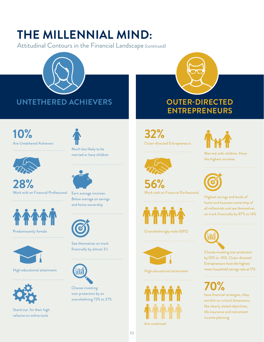# **THE MILLENNIAL MIND:**

Attitudinal Contours in the Financial Landscape *(continued)*





**ENTREPRENEURS**

**32%** Outer-directed Entrepreneurs



**56%** Work with an Financial Porfessional



Overwhelmingly male (69%)



High educational attainment



Are unadvised



Married with children. Have the highest incomes



Highest savings and levels of home and business ownership of all millennials and see themselves on track financially by 87% to 14%



Choose investing over protection by 55% to 45%. Outer-directed Entrepreneurs have the highest mean household savings rate at 17%

**70%**  have financial strategies, they are thin on critical dimensions like clearly stated objectives, life insurance and retirement income planning

**10%** 

Are Untethered Achievers 



**28%** Work with an Financial Professional



Predominantly female



High educational attainment



Stand out for their high reliance on online tools



Much less likely to be married or have children



Earn average incomes. Below average on savings and home ownership



See themselves on track financially by almost 3:1.



Choose investing over protection by an overwhelming 73% to 27%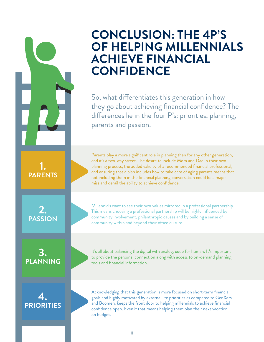## **CONCLUSION: THE 4P'S OF HELPING MILLENNIALS ACHIEVE FINANCIAL CONFIDENCE**

So, what differentiates this generation in how they go about achieving financial confidence? The differences lie in the four P's: priorities, planning, parents and passion.

Parents play a more significant role in planning than for any other generation, and it's a two-way street. The desire to include Mom and Dad in their own planning process, the added validity of a recommended financial professional, and ensuring that a plan includes how to take care of aging parents means that not including them in the financial planning conversation could be a major miss and derail the ability to achieve confidence.

Millennials want to see their own values mirrored in a professional partnership. This means choosing a professional partnership will be highly influenced by community involvement, philanthropic causes and by building a sense of community within and beyond their office culture.

It's all about balancing the digital with analog, code for human. It's important to provide the personal connection along with access to on-demand planning tools and financial information.

Acknowledging that this generation is more focused on short-term financial goals and highly motivated by external life priorities as compared to GenXers and Boomers keeps the front door to helping millennials to achieve financial confidence open. Even if that means helping them plan their next vacation on budget.

**2.** 

**1. PARENTS**

**PASSION**

**3. PLANNING**

**4. PRIORITIES**